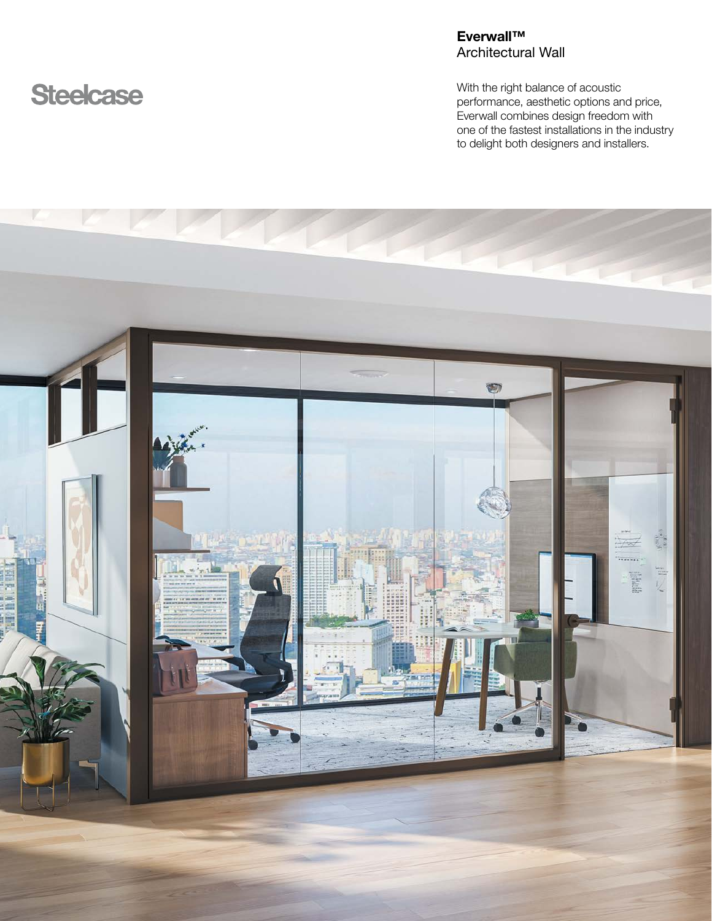# **Steelcase**

# Everwall™ Architectural Wall

With the right balance of acoustic performance, aesthetic options and price, Everwall combines design freedom with one of the fastest installations in the industry to delight both designers and installers.